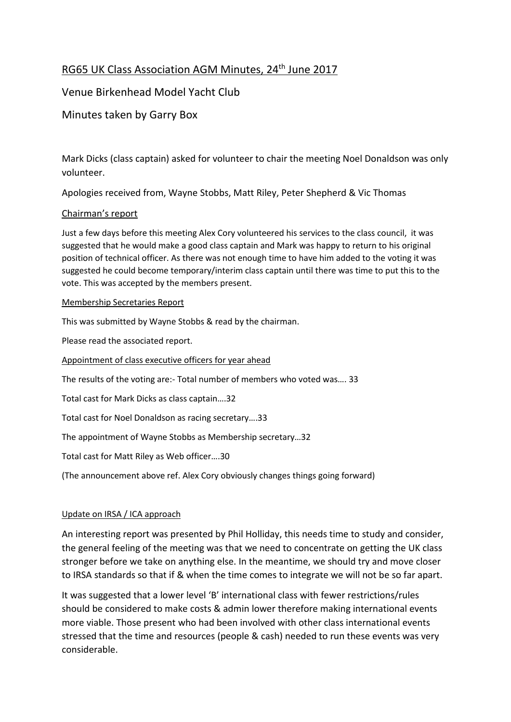# RG65 UK Class Association AGM Minutes, 24<sup>th</sup> June 2017

## Venue Birkenhead Model Yacht Club

## Minutes taken by Garry Box

Mark Dicks (class captain) asked for volunteer to chair the meeting Noel Donaldson was only volunteer.

Apologies received from, Wayne Stobbs, Matt Riley, Peter Shepherd & Vic Thomas

## Chairman's report

Just a few days before this meeting Alex Cory volunteered his services to the class council, it was suggested that he would make a good class captain and Mark was happy to return to his original position of technical officer. As there was not enough time to have him added to the voting it was suggested he could become temporary/interim class captain until there was time to put this to the vote. This was accepted by the members present.

#### Membership Secretaries Report

This was submitted by Wayne Stobbs & read by the chairman.

Please read the associated report.

Appointment of class executive officers for year ahead

The results of the voting are:- Total number of members who voted was…. 33

Total cast for Mark Dicks as class captain….32

Total cast for Noel Donaldson as racing secretary….33

The appointment of Wayne Stobbs as Membership secretary…32

Total cast for Matt Riley as Web officer….30

(The announcement above ref. Alex Cory obviously changes things going forward)

#### Update on IRSA / ICA approach

An interesting report was presented by Phil Holliday, this needs time to study and consider, the general feeling of the meeting was that we need to concentrate on getting the UK class stronger before we take on anything else. In the meantime, we should try and move closer to IRSA standards so that if & when the time comes to integrate we will not be so far apart.

It was suggested that a lower level 'B' international class with fewer restrictions/rules should be considered to make costs & admin lower therefore making international events more viable. Those present who had been involved with other class international events stressed that the time and resources (people & cash) needed to run these events was very considerable.